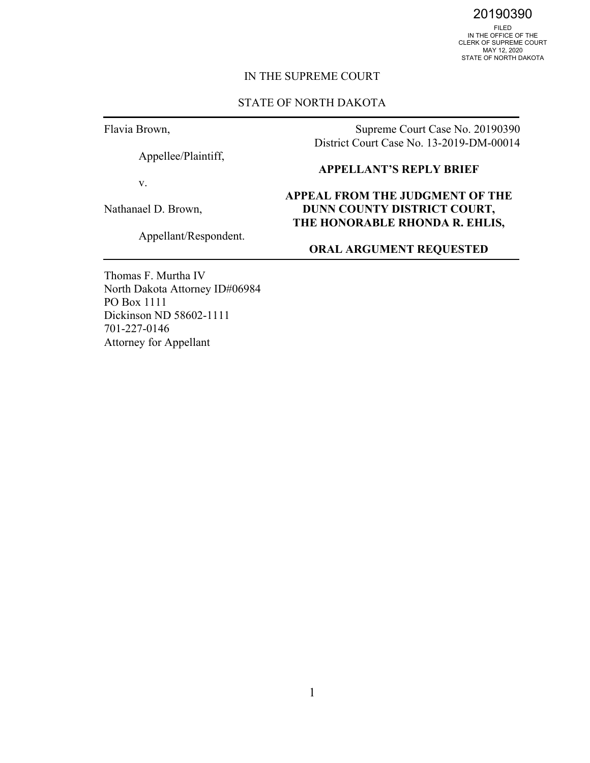20190390

FILED IN THE OFFICE OF THE CLERK OF SUPREME COURT MAY 12, 2020 STATE OF NORTH DAKOTA

#### IN THE SUPREME COURT

#### STATE OF NORTH DAKOTA

Flavia Brown,

Appellee/Plaintiff,

v.

Nathanael D. Brown,

Appellant/Respondent.

Supreme Court Case No. 20190390 District Court Case No. 13-2019-DM-00014

#### **APPELLANT'S REPLY BRIEF**

#### **APPEAL FROM THE JUDGMENT OF THE DUNN COUNTY DISTRICT COURT, THE HONORABLE RHONDA R. EHLIS,**

### **ORAL ARGUMENT REQUESTED**

Thomas F. Murtha IV North Dakota Attorney ID#06984 PO Box 1111 Dickinson ND 58602-1111 701-227-0146 Attorney for Appellant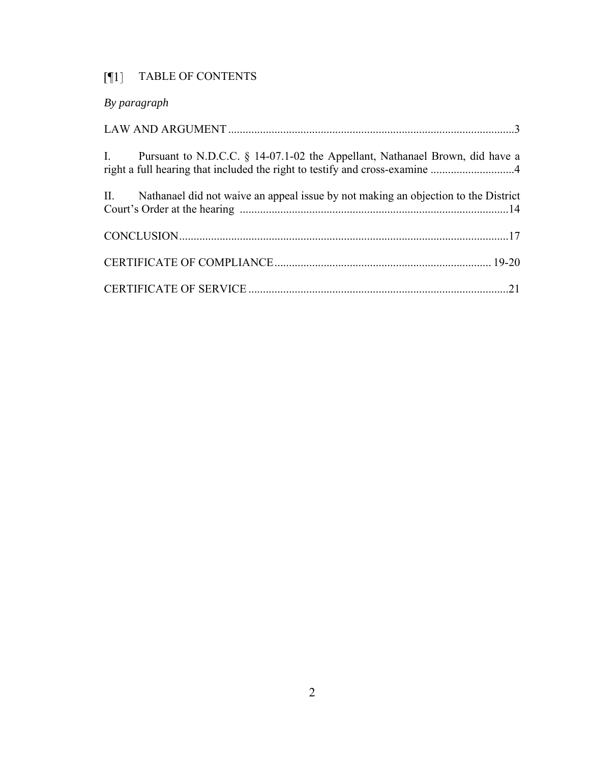## [¶1] TABLE OF CONTENTS

| By paragraph                                                                                                                                                   |
|----------------------------------------------------------------------------------------------------------------------------------------------------------------|
|                                                                                                                                                                |
| I. Pursuant to N.D.C.C. § 14-07.1-02 the Appellant, Nathanael Brown, did have a<br>right a full hearing that included the right to testify and cross-examine 4 |
| II. Nathanael did not waive an appeal issue by not making an objection to the District                                                                         |
|                                                                                                                                                                |
|                                                                                                                                                                |
|                                                                                                                                                                |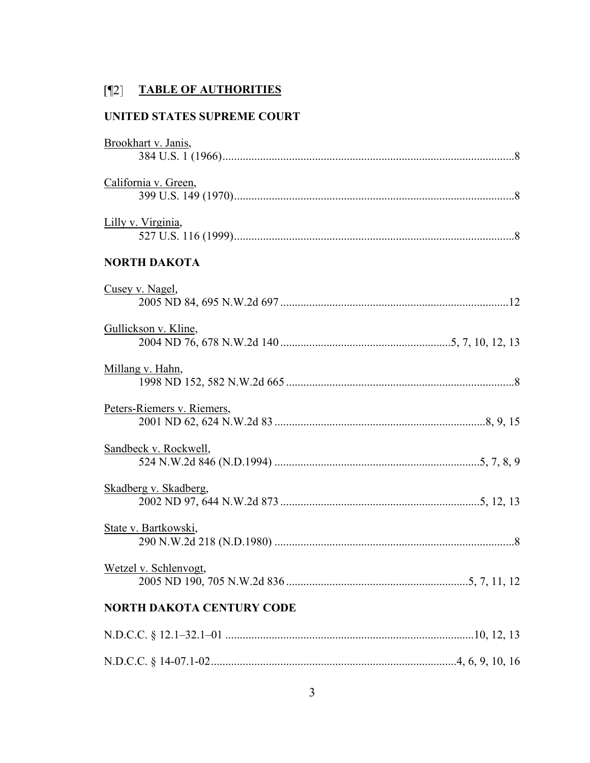## **TABLE OF AUTHORITIES**

### **UNITED STATES SUPREME COURT**

| Brookhart v. Janis,              |
|----------------------------------|
|                                  |
| California v. Green,             |
|                                  |
| Lilly v. Virginia,               |
|                                  |
| <b>NORTH DAKOTA</b>              |
| Cusey v. Nagel,                  |
|                                  |
| Gullickson v. Kline,             |
|                                  |
| Millang v. Hahn,                 |
|                                  |
| Peters-Riemers v. Riemers,       |
|                                  |
| Sandbeck v. Rockwell,            |
|                                  |
| Skadberg v. Skadberg,            |
|                                  |
| State v. Bartkowski,             |
|                                  |
| Wetzel v. Schlenvogt,            |
|                                  |
| <b>NORTH DAKOTA CENTURY CODE</b> |
|                                  |
|                                  |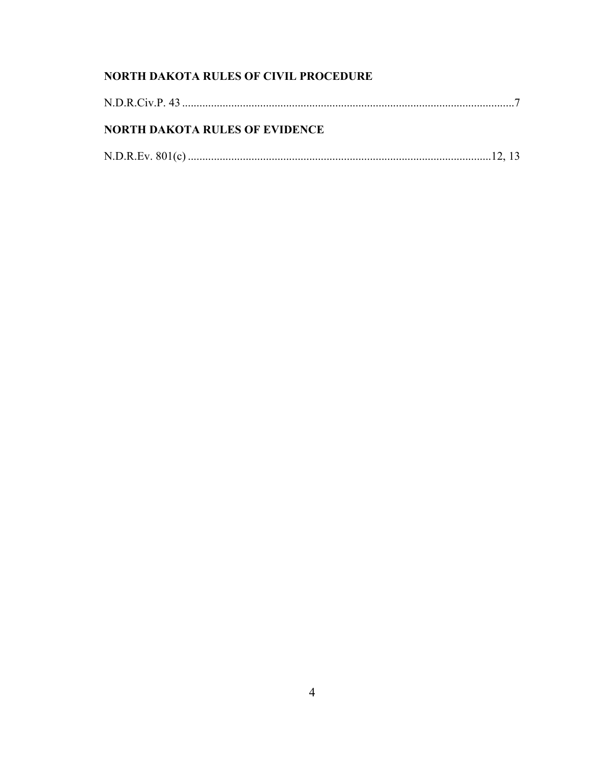## NORTH DAKOTA RULES OF CIVIL PROCEDURE

| <b>NORTH DAKOTA RULES OF EVIDENCE</b> |  |
|---------------------------------------|--|
|                                       |  |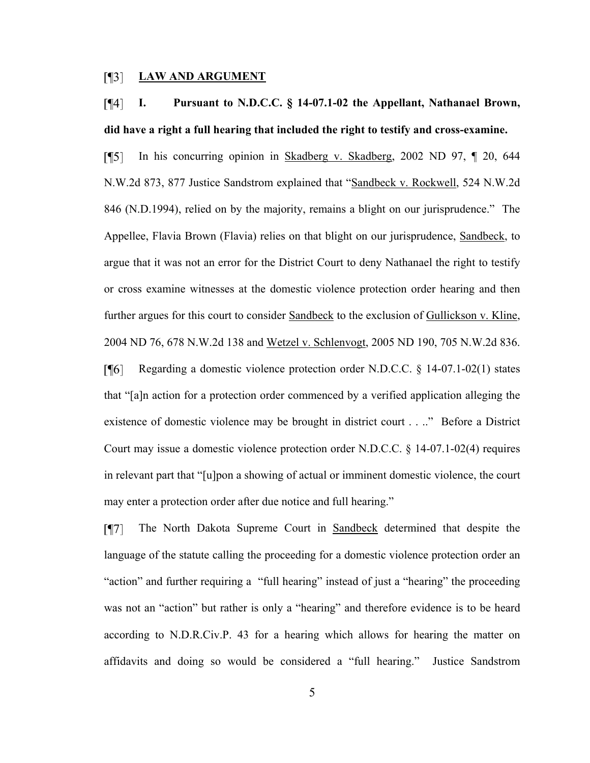#### $\lceil \P \rceil$ **LAW AND ARGUMENT**

#### $\lceil \P 4 \rceil$ **I. Pursuant to N.D.C.C. § 14-07.1-02 the Appellant, Nathanael Brown, did have a right a full hearing that included the right to testify and cross-examine.**

 $\lceil \P 5 \rceil$ In his concurring opinion in Skadberg v. Skadberg, 2002 ND 97, ¶ 20, 644 N.W.2d 873, 877 Justice Sandstrom explained that "Sandbeck v. Rockwell, 524 N.W.2d 846 (N.D.1994), relied on by the majority, remains a blight on our jurisprudence." The Appellee, Flavia Brown (Flavia) relies on that blight on our jurisprudence, Sandbeck, to argue that it was not an error for the District Court to deny Nathanael the right to testify or cross examine witnesses at the domestic violence protection order hearing and then further argues for this court to consider Sandbeck to the exclusion of Gullickson v. Kline, 2004 ND 76, 678 N.W.2d 138 and Wetzel v. Schlenvogt, 2005 ND 190, 705 N.W.2d 836.

 $[96]$ Regarding a domestic violence protection order N.D.C.C. § 14-07.1-02(1) states that "[a]n action for a protection order commenced by a verified application alleging the existence of domestic violence may be brought in district court . . .." Before a District Court may issue a domestic violence protection order N.D.C.C. § 14-07.1-02(4) requires in relevant part that "[u]pon a showing of actual or imminent domestic violence, the court may enter a protection order after due notice and full hearing."

The North Dakota Supreme Court in Sandbeck determined that despite the  $\sqrt{17}$ language of the statute calling the proceeding for a domestic violence protection order an "action" and further requiring a "full hearing" instead of just a "hearing" the proceeding was not an "action" but rather is only a "hearing" and therefore evidence is to be heard according to N.D.R.Civ.P. 43 for a hearing which allows for hearing the matter on affidavits and doing so would be considered a "full hearing." Justice Sandstrom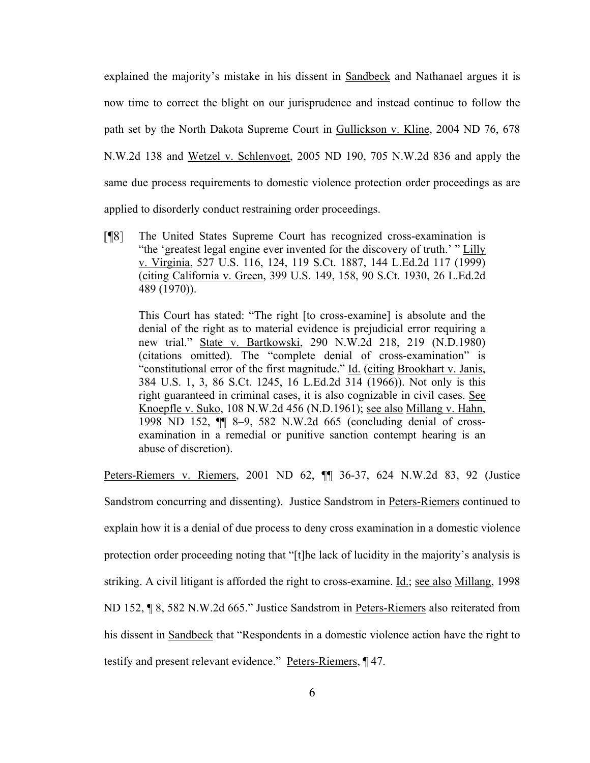explained the majority's mistake in his dissent in Sandbeck and Nathanael argues it is now time to correct the blight on our jurisprudence and instead continue to follow the path set by the North Dakota Supreme Court in Gullickson v. Kline, 2004 ND 76, 678 N.W.2d 138 and Wetzel v. Schlenvogt, 2005 ND 190, 705 N.W.2d 836 and apply the same due process requirements to domestic violence protection order proceedings as are applied to disorderly conduct restraining order proceedings.

The United States Supreme Court has recognized cross-examination is  $\sqrt{18}$ "the 'greatest legal engine ever invented for the discovery of truth.' " Lilly v. Virginia, 527 U.S. 116, 124, 119 S.Ct. 1887, 144 L.Ed.2d 117 (1999) (citing California v. Green, 399 U.S. 149, 158, 90 S.Ct. 1930, 26 L.Ed.2d 489 (1970)).

This Court has stated: "The right [to cross-examine] is absolute and the denial of the right as to material evidence is prejudicial error requiring a new trial." State v. Bartkowski, 290 N.W.2d 218, 219 (N.D.1980) (citations omitted). The "complete denial of cross-examination" is "constitutional error of the first magnitude." Id. (citing Brookhart v. Janis, 384 U.S. 1, 3, 86 S.Ct. 1245, 16 L.Ed.2d 314 (1966)). Not only is this right guaranteed in criminal cases, it is also cognizable in civil cases. See Knoepfle v. Suko, 108 N.W.2d 456 (N.D.1961); see also Millang v. Hahn, 1998 ND 152, ¶¶ 8–9, 582 N.W.2d 665 (concluding denial of crossexamination in a remedial or punitive sanction contempt hearing is an abuse of discretion).

Peters-Riemers v. Riemers, 2001 ND 62, ¶¶ 36-37, 624 N.W.2d 83, 92 (Justice

Sandstrom concurring and dissenting). Justice Sandstrom in Peters-Riemers continued to explain how it is a denial of due process to deny cross examination in a domestic violence protection order proceeding noting that "[t]he lack of lucidity in the majority's analysis is striking. A civil litigant is afforded the right to cross-examine. Id.; see also Millang, 1998 ND 152, ¶ 8, 582 N.W.2d 665." Justice Sandstrom in Peters-Riemers also reiterated from his dissent in Sandbeck that "Respondents in a domestic violence action have the right to testify and present relevant evidence." Peters-Riemers, ¶ 47.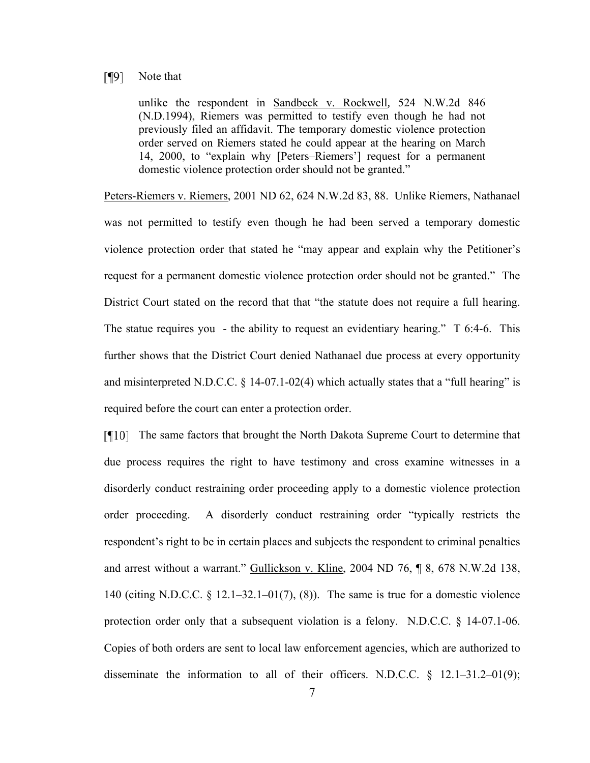#### $\sqrt{9}$ Note that

unlike the respondent in Sandbeck v. Rockwell*,* 524 N.W.2d 846 (N.D.1994), Riemers was permitted to testify even though he had not previously filed an affidavit. The temporary domestic violence protection order served on Riemers stated he could appear at the hearing on March 14, 2000, to "explain why [Peters–Riemers'] request for a permanent domestic violence protection order should not be granted."

Peters-Riemers v. Riemers, 2001 ND 62, 624 N.W.2d 83, 88. Unlike Riemers, Nathanael was not permitted to testify even though he had been served a temporary domestic violence protection order that stated he "may appear and explain why the Petitioner's request for a permanent domestic violence protection order should not be granted." The District Court stated on the record that that "the statute does not require a full hearing. The statue requires you - the ability to request an evidentiary hearing." T 6:4-6. This further shows that the District Court denied Nathanael due process at every opportunity and misinterpreted N.D.C.C.  $\S$  14-07.1-02(4) which actually states that a "full hearing" is required before the court can enter a protection order.

The same factors that brought the North Dakota Supreme Court to determine that due process requires the right to have testimony and cross examine witnesses in a disorderly conduct restraining order proceeding apply to a domestic violence protection order proceeding. A disorderly conduct restraining order "typically restricts the respondent's right to be in certain places and subjects the respondent to criminal penalties and arrest without a warrant." Gullickson v. Kline, 2004 ND 76, ¶ 8, 678 N.W.2d 138, 140 (citing N.D.C.C. § 12.1–32.1–01(7), (8)). The same is true for a domestic violence protection order only that a subsequent violation is a felony. N.D.C.C. § 14-07.1-06. Copies of both orders are sent to local law enforcement agencies, which are authorized to disseminate the information to all of their officers. N.D.C.C.  $\S$  12.1–31.2–01(9);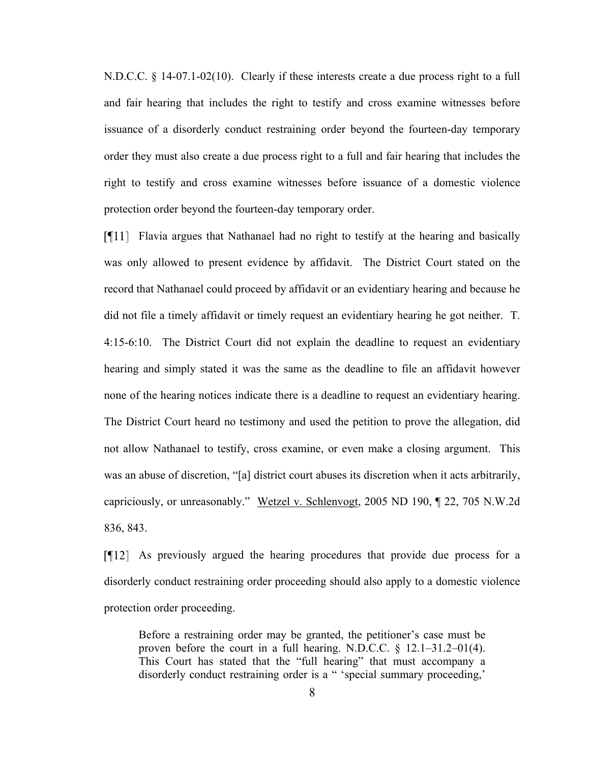N.D.C.C. § 14-07.1-02(10). Clearly if these interests create a due process right to a full and fair hearing that includes the right to testify and cross examine witnesses before issuance of a disorderly conduct restraining order beyond the fourteen-day temporary order they must also create a due process right to a full and fair hearing that includes the right to testify and cross examine witnesses before issuance of a domestic violence protection order beyond the fourteen-day temporary order.

Flavia argues that Nathanael had no right to testify at the hearing and basically was only allowed to present evidence by affidavit. The District Court stated on the record that Nathanael could proceed by affidavit or an evidentiary hearing and because he did not file a timely affidavit or timely request an evidentiary hearing he got neither. T. 4:15-6:10. The District Court did not explain the deadline to request an evidentiary hearing and simply stated it was the same as the deadline to file an affidavit however none of the hearing notices indicate there is a deadline to request an evidentiary hearing. The District Court heard no testimony and used the petition to prove the allegation, did not allow Nathanael to testify, cross examine, or even make a closing argument. This was an abuse of discretion, "[a] district court abuses its discretion when it acts arbitrarily, capriciously, or unreasonably." Wetzel v. Schlenvogt, 2005 ND 190, ¶ 22, 705 N.W.2d 836, 843.

As previously argued the hearing procedures that provide due process for a disorderly conduct restraining order proceeding should also apply to a domestic violence protection order proceeding.

Before a restraining order may be granted, the petitioner's case must be proven before the court in a full hearing. N.D.C.C.  $\S$  12.1–31.2–01(4). This Court has stated that the "full hearing" that must accompany a disorderly conduct restraining order is a " 'special summary proceeding,'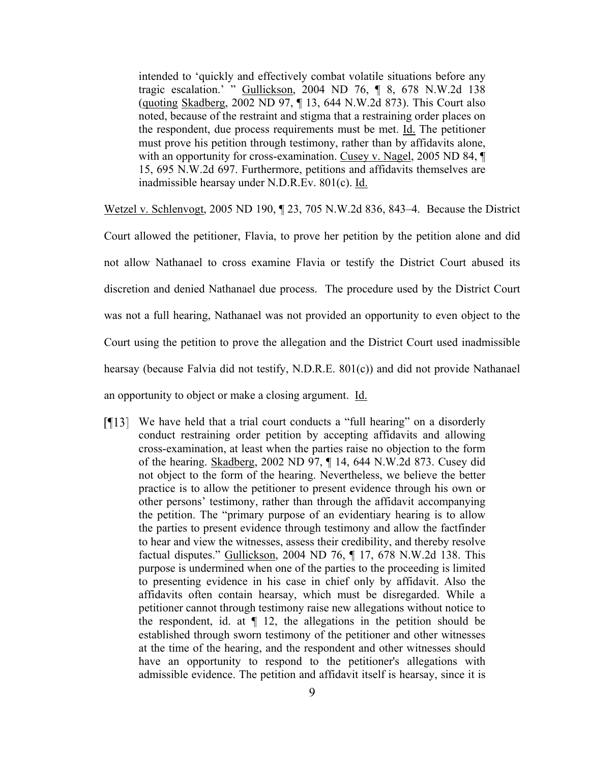intended to 'quickly and effectively combat volatile situations before any tragic escalation.' " Gullickson, 2004 ND 76, ¶ 8, 678 N.W.2d 138 (quoting Skadberg, 2002 ND 97, ¶ 13, 644 N.W.2d 873). This Court also noted, because of the restraint and stigma that a restraining order places on the respondent, due process requirements must be met. Id. The petitioner must prove his petition through testimony, rather than by affidavits alone, with an opportunity for cross-examination. Cusey v. Nagel, 2005 ND 84, ¶ 15, 695 N.W.2d 697. Furthermore, petitions and affidavits themselves are inadmissible hearsay under N.D.R.Ev. 801(c). Id.

Wetzel v. Schlenvogt, 2005 ND 190, ¶ 23, 705 N.W.2d 836, 843–4. Because the District

Court allowed the petitioner, Flavia, to prove her petition by the petition alone and did not allow Nathanael to cross examine Flavia or testify the District Court abused its discretion and denied Nathanael due process. The procedure used by the District Court was not a full hearing, Nathanael was not provided an opportunity to even object to the Court using the petition to prove the allegation and the District Court used inadmissible hearsay (because Falvia did not testify, N.D.R.E. 801(c)) and did not provide Nathanael an opportunity to object or make a closing argument. Id.

We have held that a trial court conducts a "full hearing" on a disorderly conduct restraining order petition by accepting affidavits and allowing cross-examination, at least when the parties raise no objection to the form of the hearing. Skadberg, 2002 ND 97, ¶ 14, 644 N.W.2d 873. Cusey did not object to the form of the hearing. Nevertheless, we believe the better practice is to allow the petitioner to present evidence through his own or other persons' testimony, rather than through the affidavit accompanying the petition. The "primary purpose of an evidentiary hearing is to allow the parties to present evidence through testimony and allow the factfinder to hear and view the witnesses, assess their credibility, and thereby resolve factual disputes." Gullickson, 2004 ND 76, ¶ 17, 678 N.W.2d 138. This purpose is undermined when one of the parties to the proceeding is limited to presenting evidence in his case in chief only by affidavit. Also the affidavits often contain hearsay, which must be disregarded. While a petitioner cannot through testimony raise new allegations without notice to the respondent, id. at  $\P$  12, the allegations in the petition should be established through sworn testimony of the petitioner and other witnesses at the time of the hearing, and the respondent and other witnesses should have an opportunity to respond to the petitioner's allegations with admissible evidence. The petition and affidavit itself is hearsay, since it is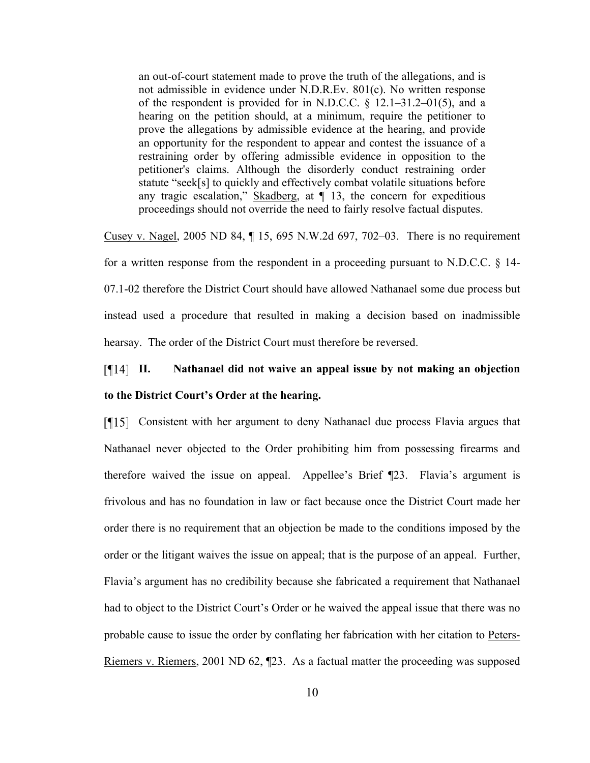an out-of-court statement made to prove the truth of the allegations, and is not admissible in evidence under N.D.R.Ev. 801(c). No written response of the respondent is provided for in N.D.C.C. § 12.1–31.2–01(5), and a hearing on the petition should, at a minimum, require the petitioner to prove the allegations by admissible evidence at the hearing, and provide an opportunity for the respondent to appear and contest the issuance of a restraining order by offering admissible evidence in opposition to the petitioner's claims. Although the disorderly conduct restraining order statute "seek[s] to quickly and effectively combat volatile situations before any tragic escalation," Skadberg, at  $\P$  13, the concern for expeditious proceedings should not override the need to fairly resolve factual disputes.

Cusey v. Nagel, 2005 ND 84, ¶ 15, 695 N.W.2d 697, 702–03. There is no requirement for a written response from the respondent in a proceeding pursuant to N.D.C.C. § 14- 07.1-02 therefore the District Court should have allowed Nathanael some due process but instead used a procedure that resulted in making a decision based on inadmissible hearsay. The order of the District Court must therefore be reversed.

# **II. Nathanael did not waive an appeal issue by not making an objection to the District Court's Order at the hearing.**

Consistent with her argument to deny Nathanael due process Flavia argues that Nathanael never objected to the Order prohibiting him from possessing firearms and therefore waived the issue on appeal. Appellee's Brief ¶23. Flavia's argument is frivolous and has no foundation in law or fact because once the District Court made her order there is no requirement that an objection be made to the conditions imposed by the order or the litigant waives the issue on appeal; that is the purpose of an appeal. Further, Flavia's argument has no credibility because she fabricated a requirement that Nathanael had to object to the District Court's Order or he waived the appeal issue that there was no probable cause to issue the order by conflating her fabrication with her citation to Peters-Riemers v. Riemers, 2001 ND 62, ¶23. As a factual matter the proceeding was supposed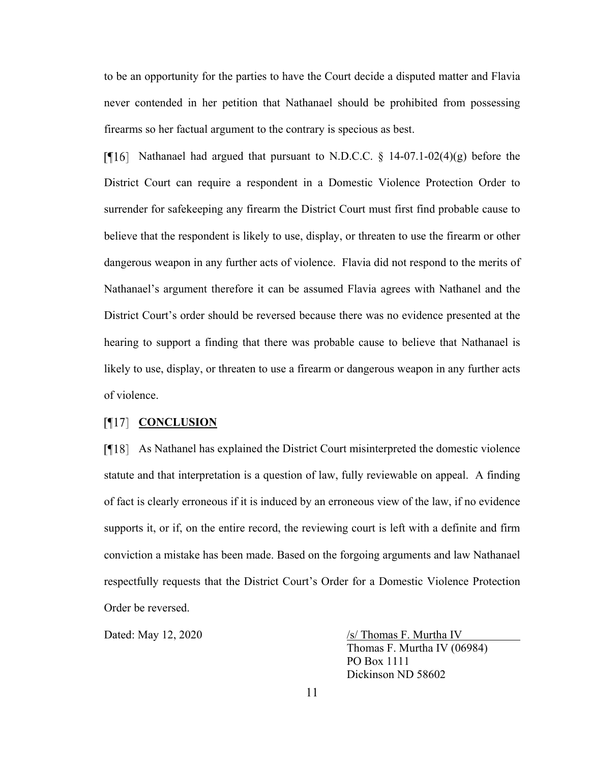to be an opportunity for the parties to have the Court decide a disputed matter and Flavia never contended in her petition that Nathanael should be prohibited from possessing firearms so her factual argument to the contrary is specious as best.

[ $\P$ 16] Nathanael had argued that pursuant to N.D.C.C. § 14-07.1-02(4)(g) before the District Court can require a respondent in a Domestic Violence Protection Order to surrender for safekeeping any firearm the District Court must first find probable cause to believe that the respondent is likely to use, display, or threaten to use the firearm or other dangerous weapon in any further acts of violence. Flavia did not respond to the merits of Nathanael's argument therefore it can be assumed Flavia agrees with Nathanel and the District Court's order should be reversed because there was no evidence presented at the hearing to support a finding that there was probable cause to believe that Nathanael is likely to use, display, or threaten to use a firearm or dangerous weapon in any further acts of violence.

#### [¶17] **CONCLUSION**

As Nathanel has explained the District Court misinterpreted the domestic violence statute and that interpretation is a question of law, fully reviewable on appeal. A finding of fact is clearly erroneous if it is induced by an erroneous view of the law, if no evidence supports it, or if, on the entire record, the reviewing court is left with a definite and firm conviction a mistake has been made. Based on the forgoing arguments and law Nathanael respectfully requests that the District Court's Order for a Domestic Violence Protection Order be reversed.

Dated: May 12, 2020  $\sqrt{s}$  Thomas F. Murtha IV Thomas F. Murtha IV (06984) PO Box 1111 Dickinson ND 58602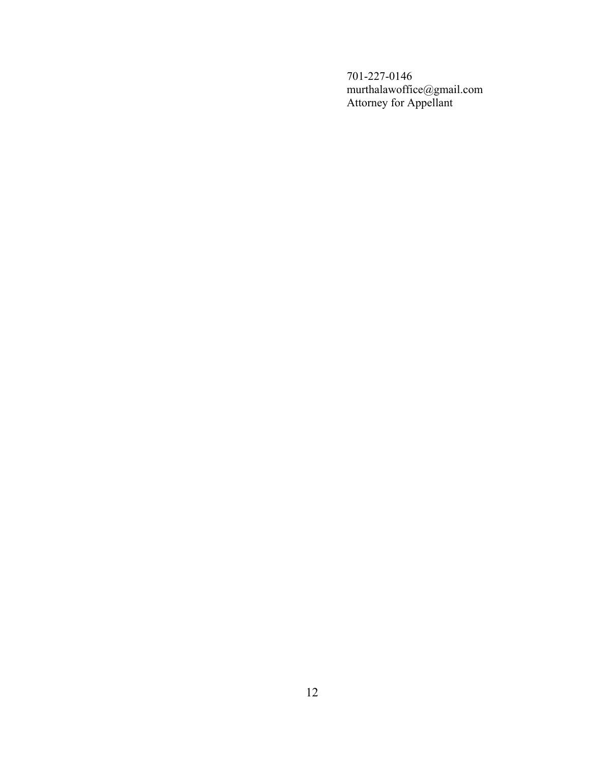701-227-0146 murthalawoffice@gmail.com Attorney for Appellant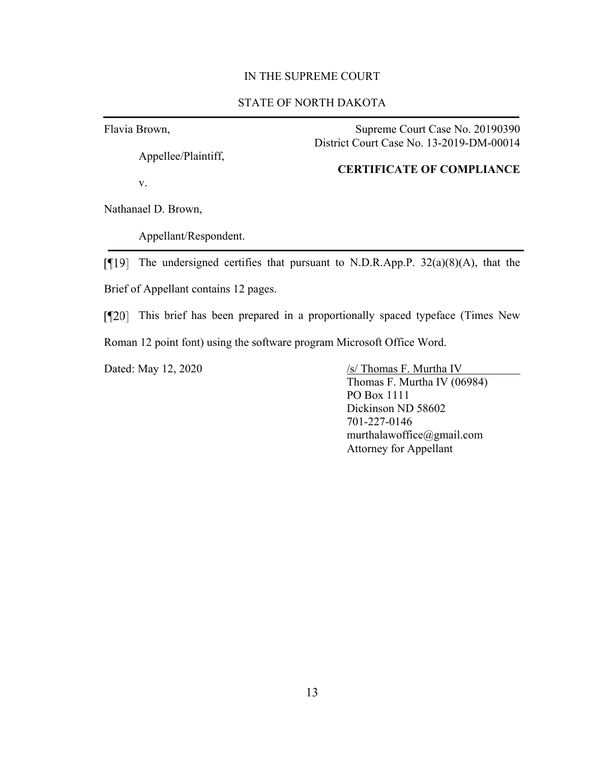#### IN THE SUPREME COURT

#### STATE OF NORTH DAKOTA

Flavia Brown,

Appellee/Plaintiff,

v.

Supreme Court Case No. 20190390 District Court Case No. 13-2019-DM-00014

#### **CERTIFICATE OF COMPLIANCE**

Nathanael D. Brown,

Appellant/Respondent.

[ $\P$ [19] The undersigned certifies that pursuant to N.D.R.App.P. 32(a)(8)(A), that the Brief of Appellant contains 12 pages.

[¶20] This brief has been prepared in a proportionally spaced typeface (Times New Roman 12 point font) using the software program Microsoft Office Word.

Dated: May 12, 2020  $\sqrt{s}$  Thomas F. Murtha IV

Thomas F. Murtha IV (06984) PO Box 1111 Dickinson ND 58602 701-227-0146 murthalawoffice@gmail.com Attorney for Appellant